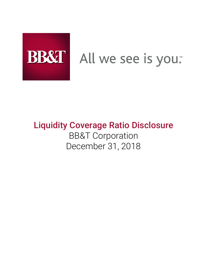

# All we see is you.

# Liquidity Coverage Ratio Disclosure BB&T Corporation December 31, 2018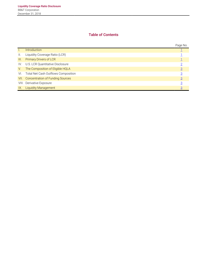# Table of Contents

|                 |                                       | Page No.       |
|-----------------|---------------------------------------|----------------|
|                 | <b>Introduction</b>                   |                |
| $\mathbf{II}$ . | Liquidity Coverage Ratio (LCR)        |                |
| III.            | Primary Drivers of LCR                |                |
| IV.             | U.S. LCR Quantitative Disclosure      |                |
| V.              | The Composition of Eligible HQLA      | $\overline{3}$ |
| VI.             | Total Net Cash Outflows Composition   |                |
|                 | VII. Concentration of Funding Sources | $\overline{3}$ |
|                 | VIII. Derivative Exposure             | 3              |
| IX.             | <b>Liquidity Management</b>           | $\overline{3}$ |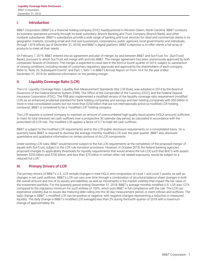#### <span id="page-2-0"></span>I. Introduction

BB&T Corporation (BB&T) is a financial holding company (FHC) headquartered in Winston-Salem, North Carolina. BB&T conducts its business operations primarily through its bank subsidiary, Branch Banking and Trust Company (Branch Bank), and other nonbank subsidiaries. BB&T's subsidiaries provide a wide range of banking and trust services for retail and commercial clients in its geographic markets, including small and mid-size businesses, corporations, public agencies, local governments and individuals, through 1,879 offices (as of December 31, 2018) and BB&T's digital platform. BB&T's objective is to offer clients a full array of products to meet all their needs.

On February 7, 2019, BB&T entered into an agreement and plan of merger, by and between BB&T and SunTrust, Inc. (SunTrust) Banks, pursuant to which SunTrust will merge with and into BB&T. The merger agreement has been unanimously approved by both companies' Boards of Directors. The merger is expected to close late in the third or fourth quarter of 2019, subject to satisfaction of closing conditions, including receipt of customary regulatory approvals and approval by the shareholders of each company. Refer to "Note 20. Subsequent Events" and Part 1, Item 1 in BB&T's Annual Report on Form 10-K for the year ended December 31, 2018 for additional information on the pending merger.

#### <span id="page-2-1"></span>II. Liquidity Coverage Ratio (LCR)

The U.S. Liquidity Coverage Ratio: Liquidity Risk Measurement Standards (the LCR Rule), was adopted in 2014 by the Board of Governors of the Federal Reserve System (FRB), The Office of the Comptroller of the Currency (OCC), and the Federal Deposit Insurance Corporation (FDIC). The FRB also implemented a modified version of the liquidity coverage ratio requirement (modified LCR) as an enhanced prudential standard for bank holding companies and savings and loan holding companies with \$50 billion or more in total consolidated assets but not more than \$250 billion that are not internationally active (a modified LCR holding company). BB&T is considered to be a "modified LCR" holding company.

The LCR requires a covered company to maintain an amount of unencumbered high-quality liquid assets (HQLA amount) sufficient to meet its total stressed net cash outflows over a prospective 30 calendar-day period, as calculated in accordance with the prescribed US LCR rule. The modified LCR applies a factor of 0.7 to total net cash outflows.

BB&T is subject to the modified LCR requirements and to the LCR public disclosure requirements on a consolidated basis. On a quarterly basis BB&T is required to disclose the average monthly modified LCR over the past quarter. BB&T also discloses quantitative and qualitative information on certain portions of its LCR components.

Under existing LCR rules, BB&T would become subject to the full LCR requirements at the completion of the proposed merger of equals with SunTrust, subject to the LCR rule transition provisions. However, in October 2018, the federal banking agencies proposed changes to applicability thresholds for liquidity requirements that would amend the full LCR such that BHC's with assets between \$250 billion and \$700 billion, and less than \$75 billion in certain other risk related exposures, would be subject to a reduced full LCR.

### <span id="page-2-2"></span>III. Primary Drivers of LCR

The primary drivers of BB&T's U.S. LCR include changes in total HQLA and composition of Level 1 and Level 2 assets, as well as changes in net cash outflows. BB&T's LCR can vary over time through a combination of structural balance sheet changes in both the overall amount and mix of its assets and liabilities, as well as movements in the market volatility that impact the fair value of the investment portfolio. For the quarterly period ending December 31, 2018, BB&T's average monthly modified U.S. LCR was 127% compared to the regulatory minimum for such entities of 100%, which puts BB&T in full compliance with the rule. The LCR can experience volatility due to issues like maturing debt rolling into the 30 day measurement period, or client inflows and outflows. The daily change in BB&T's modified LCR can be positive or negative, with negative changes representing a reduction in measured liquidity. The daily change in BB&T's modified LCR averaged less than 2% during the fourth quarter of 2018 with a maximum change of approximately 4%.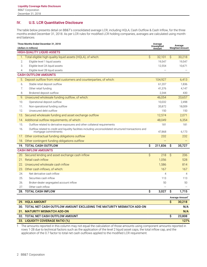# <span id="page-3-0"></span>IV. U.S. LCR Quantitative Disclosure

The table below presents detail on BB&T's consolidated average LCR, including HQLA, Cash Outflow & Cash Inflow, for the three months ended December 31, 2018. As per LCR rules for modified LCR holding companies, averages are calculated using monthend balances.

| Three Months Ended December 31, 2018<br>(dollars in millions) |                                                                                                                                 |    | Average<br>Average<br>Unweighted<br>Weighted Amount<br>Amount |                     |                             |  |  |
|---------------------------------------------------------------|---------------------------------------------------------------------------------------------------------------------------------|----|---------------------------------------------------------------|---------------------|-----------------------------|--|--|
| <b>HIGH-QUALITY LIQUID ASSETS</b>                             |                                                                                                                                 |    |                                                               |                     |                             |  |  |
|                                                               | 1. Total eligible high-quality liquid assets (HQLA), of which:                                                                  | \$ | 32,101                                                        | \$                  | 30,218                      |  |  |
| 2.                                                            | Eligible level 1 liquid assets                                                                                                  |    | 19,547                                                        |                     | 19,547                      |  |  |
| 3.                                                            | Eligible level 2A liquid assets                                                                                                 |    | 12,554                                                        |                     | 10,671                      |  |  |
| 4.                                                            | Eligible level 2B liquid assets                                                                                                 |    |                                                               |                     |                             |  |  |
| <b>CASH OUTFLOW AMOUNTS</b>                                   |                                                                                                                                 |    |                                                               |                     |                             |  |  |
|                                                               | 5. Deposit outflow from retail customers and counterparties, of which:                                                          |    | 104,927                                                       |                     | 6,413                       |  |  |
| 6.                                                            | Stable retail deposit outflow                                                                                                   |    | 61,207                                                        |                     | 1,836                       |  |  |
| 7.                                                            | Other retail funding                                                                                                            |    | 41.376                                                        |                     | 4,147                       |  |  |
| 8.                                                            | Brokered deposit outflow                                                                                                        |    | 2,344                                                         |                     | 430                         |  |  |
| 9.                                                            | Unsecured wholesale funding outflow, of which:                                                                                  |    | 46,054                                                        |                     | 20,657                      |  |  |
| 10.                                                           | Operational deposit outflow                                                                                                     |    | 10,032                                                        |                     | 2,498                       |  |  |
| 11.                                                           | Non-operational funding outflow                                                                                                 |    | 35,872                                                        |                     | 18,009                      |  |  |
| 12.                                                           | Unsecured debt outflow                                                                                                          |    | 150                                                           |                     | 150                         |  |  |
| 13.                                                           | Secured wholesale funding and asset exchange outflow                                                                            |    | 12,574                                                        |                     | 2,071                       |  |  |
|                                                               | 14. Additional outflow requirements, of which:                                                                                  |    | 48,049                                                        |                     | 6,354                       |  |  |
| 15.                                                           | Outflow related to derivative exposures and other collateral requirements                                                       |    | 181                                                           |                     | 181                         |  |  |
| 16.                                                           | Outflow related to credit and liquidity facilities including unconsolidated structured transactions and<br>mortgage commitments |    | 47,868                                                        |                     | 6,173                       |  |  |
| $1/$ .                                                        | Other contractual funding obligations outflow                                                                                   |    | 232                                                           |                     | 232                         |  |  |
|                                                               | 18. Other contingent funding obligations outflow                                                                                |    |                                                               |                     |                             |  |  |
|                                                               | 19. TOTAL CASH OUTFLOW                                                                                                          | Ś  | 211,836                                                       | \$                  | 35,727                      |  |  |
| <b>CASH INFLOW AMOUNTS</b>                                    |                                                                                                                                 |    |                                                               |                     |                             |  |  |
|                                                               | 20. Secured lending and asset exchange cash inflow                                                                              | \$ | 218                                                           | $\hat{\mathcal{S}}$ | 206                         |  |  |
|                                                               | 21. Retail cash inflow                                                                                                          |    | 1,056                                                         |                     | 528                         |  |  |
|                                                               | 22. Unsecured wholesale cash inflow                                                                                             |    | 1,586                                                         |                     | 814                         |  |  |
| 23.                                                           | Other cash inflows, of which:                                                                                                   |    | 167                                                           |                     | 167                         |  |  |
| 24.                                                           | Net derivative cash inflow                                                                                                      |    | 4                                                             |                     | $\overline{4}$              |  |  |
| 25.                                                           | Securities cash inflow                                                                                                          |    | 113                                                           |                     | 113                         |  |  |
| 26.                                                           | Broker-dealer segregated account inflow                                                                                         |    | 50                                                            |                     | 50                          |  |  |
| 27.                                                           | Other cash inflow                                                                                                               |    |                                                               |                     |                             |  |  |
|                                                               | <b>28. TOTAL CASH INFLOW</b>                                                                                                    | \$ | 3,027                                                         | \$                  | 1,715                       |  |  |
|                                                               |                                                                                                                                 |    |                                                               |                     | Average Amount <sup>1</sup> |  |  |
|                                                               | 29. HQLA AMOUNT                                                                                                                 |    |                                                               | \$                  | 30,218                      |  |  |
|                                                               | 30. TOTAL NET CASH OUTFLOW AMOUNT EXCLUDING THE MATURITY MISMATCH ADD-ON                                                        |    |                                                               |                     | N/A                         |  |  |
|                                                               | 31. MATURITY MISMATCH ADD-ON                                                                                                    |    |                                                               |                     | N/A                         |  |  |
|                                                               | 32. TOTAL NET CASH OUTFLOW AMOUNT                                                                                               |    |                                                               | \$                  | 23,808                      |  |  |
|                                                               | 33. LIQUIDITY COVERAGE RATIO (%)                                                                                                |    |                                                               |                     | 127%                        |  |  |

1 The amounts reported in this column may not equal the calculation of those amounts using component amounts reported in rows 1-28 due to technical factors such as the application of the level 2 liquid asset caps, the total inflow cap, and the application of the 0.7 factor to total net cash outflows applied to the modified LCR requirement.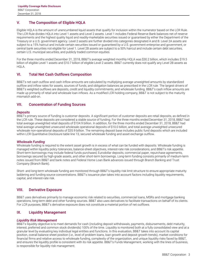# <span id="page-4-0"></span>V. The Composition of Eligible HQLA

Eligible HQLA is the amount of unencumbered liquid assets that qualify for inclusion within the numerator based on the LCR Rule. The LCR Rule divides HQLA into Level 1 assets and Level 2 assets. Level 1 includes Federal Reserve Bank balances net of reserve requirements and the highest quality liquid and readily-marketable securities issued or guaranteed by either the Department of the Treasury or a U.S. government agency. Level 2 assets are further divided into categories designated A and B. Level 2A assets are subject to a 15% haircut and include certain securities issued or guaranteed by a U.S. government enterprise and government, or central bank securities not eligible for Level 1. Level 2B assets are subject to a 50% haircut and include certain debt securities, certain U.S. municipal securities, and publicly traded common equities.

For the three months ended December 31, 2018, BB&T's average weighted monthly HQLA was \$30.2 billion, which includes \$19.5 billion of eligible Level 1 assets and \$10.7 billion of eligible Level 2 assets. BB&T currently does not qualify any Level 2B assets as HQLA.

#### <span id="page-4-1"></span>VI. Total Net Cash Outflows Composition

BB&T's net cash outflow and cash inflow amounts are calculated by multiplying average unweighted amounts by standardized outflow and inflow rates for assets, sources of funds, and obligation balances as prescribed in the LCR rule. The largest drivers of BB&T's weighted outflows are deposits, credit and liquidity commitments, and wholesale funding. BB&T's cash inflow amounts are made up primarily of retail and wholesale loan inflows. As a modified LCR holding company, BB&T is not subject to the maturity mismatch add-on.

#### <span id="page-4-2"></span>VII. Concentration of Funding Sources

#### *Deposits*

BB&T's primary source of funding is customer deposits. A significant portion of customer deposits are retail deposits, as defined in the LCR rule. These deposits are considered a stable source of funding. For the three months ended December 31, 2018, BB&T had total average unweighted retail deposits of \$104.9 billion. In addition, for the three months ended December 31, 2018, BB&T had total average unweighted unsecured wholesale operational deposits of \$10.0 billion, and total average unweighted unsecured wholesale non-operational deposits of \$35.9 billion. The remaining deposit base includes public fund deposits which are included within LCR Quantitative Disclosure table line 13, secured wholesale funding and asset exchange outflow.

#### *Wholesale Funding*

Wholesale funding is required to the extent asset growth is in excess of what can be funded with deposits. Wholesale funding is managed within liquidity policy tolerances, balance-sheet objectives, interest-rate risk considerations, and BB&T's risk appetite. Short-term borrowings may include federal funds purchased, Eurodollar deposits, commercial paper, repurchase agreements, borrowings secured by high-grade assets, and other short-term borrowings. Long-term funding consists primarily of medium-term notes issued from BB&T and bank notes and Federal Home Loan Bank advances issued through Branch Banking and Trust Company (Branch Bank).

Short- and long-term wholesale funding are monitored through BB&T's liquidity risk limit structure to ensure appropriate maturity laddering and funding source concentrations. BB&T's issuance plan takes into account factors including liquidity requirements, capital, and interest-rate risk.

#### <span id="page-4-3"></span>VIII. Derivative Exposure

BB&T uses derivatives primarily to manage economic risk related to securities, commercial loans, MSRs and mortgage banking operations, long-term debt and other funding sources. BB&T also uses derivatives to facilitate transactions on behalf of its clients. For LCR purposes, BB&T's derivative exposure does not constitute a material portion of net outflows.

#### <span id="page-4-4"></span>IX. Liquidity Management

#### *Liquidity Risk Management*

BB&T's liquidity objective is to meet demands for cash (including deposit withdrawals, payments, disbursements, debt maturity, interest, preferred and common stock dividends) 100% of the time. Liquidity is monitored both at a fully consolidated view and at a granular level by evaluating key individual legal entities and functions. In this evaluation, BB&T takes into account its capital position, overall balance sheet position (i.e., level of problem loans, loan growth and deposit growth trends), market conditions for financial firms and relative access to wholesale funding, complexity of the organization, and unique liquidity risks faced by BB&T, and ensures the liquidity profile is consistent with its risk appetite. BB&T's Funds Management, working with the lines of business, is responsible for liquidity risk management.